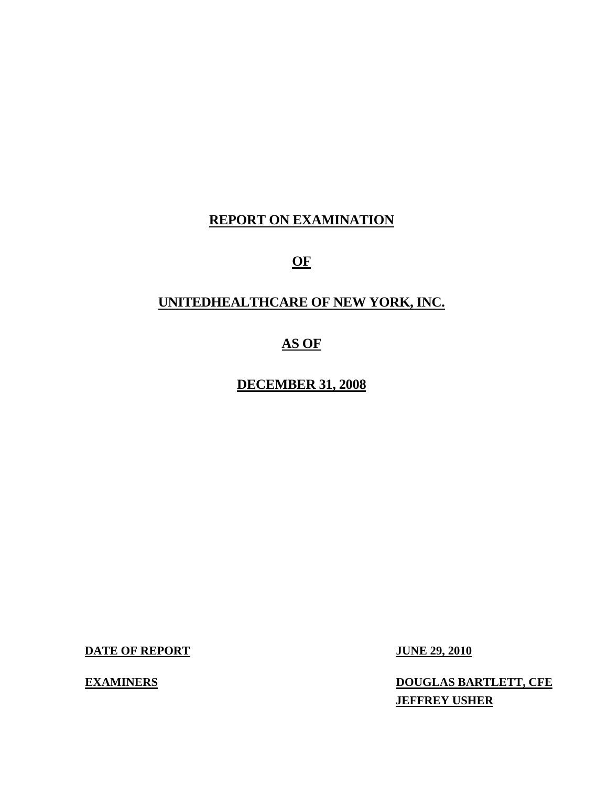## **REPORT ON EXAMINATION**

**OF** 

## **UNITEDHEALTHCARE OF NEW YORK, INC.**

## **AS OF**

**DECEMBER 31, 2008** 

**DATE OF REPORT JUNE 29, 2010** 

**EXAMINERS** 

**EXAMPLE BARTLETT, CFE JEFFREY USHER**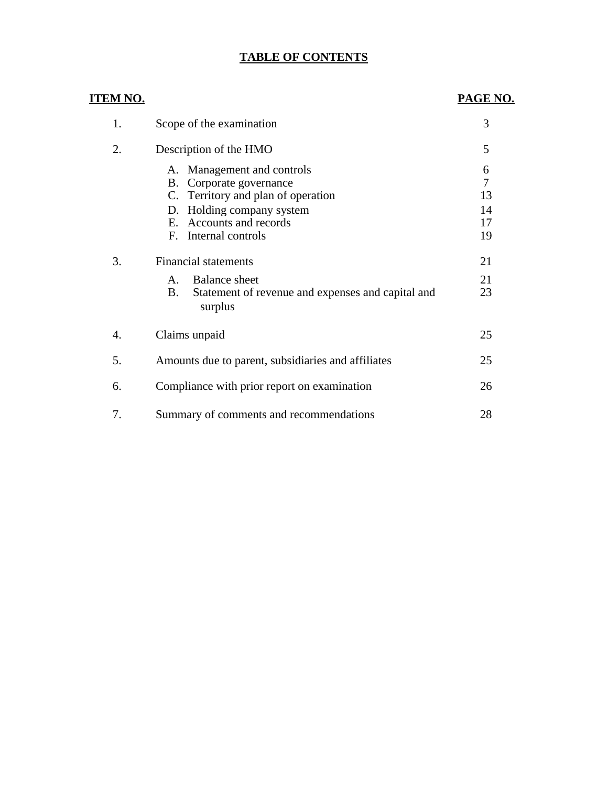## **TABLE OF CONTENTS**

| ITEM NO. |                                                                                                                                                                                                                                                                                                                              | PAGE NO.                                         |
|----------|------------------------------------------------------------------------------------------------------------------------------------------------------------------------------------------------------------------------------------------------------------------------------------------------------------------------------|--------------------------------------------------|
| 1.       | Scope of the examination                                                                                                                                                                                                                                                                                                     | 3                                                |
| 2.       | Description of the HMO                                                                                                                                                                                                                                                                                                       | 5                                                |
| 3.       | A. Management and controls<br>B. Corporate governance<br>C. Territory and plan of operation<br>Holding company system<br>D.<br>Accounts and records<br>E.<br>Internal controls<br>F.<br><b>Financial statements</b><br><b>Balance</b> sheet<br>$A_{\cdot}$<br><b>B.</b><br>Statement of revenue and expenses and capital and | 6<br>7<br>13<br>14<br>17<br>19<br>21<br>21<br>23 |
| 4.       | surplus                                                                                                                                                                                                                                                                                                                      |                                                  |
|          | Claims unpaid                                                                                                                                                                                                                                                                                                                | 25                                               |
| 5.       | Amounts due to parent, subsidiaries and affiliates                                                                                                                                                                                                                                                                           | 25                                               |
| 6.       | Compliance with prior report on examination                                                                                                                                                                                                                                                                                  | 26                                               |
| 7.       | Summary of comments and recommendations                                                                                                                                                                                                                                                                                      | 28                                               |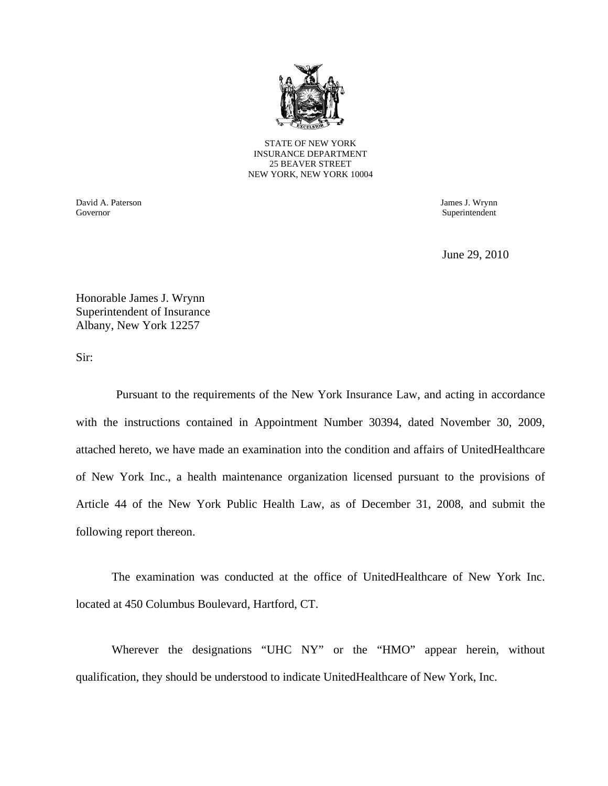

STATE OF NEW YORK INSURANCE DEPARTMENT 25 BEAVER STREET NEW YORK, NEW YORK 10004

David A. Paterson James J. Wrynn Governor Superintendent

June 29, 2010

Honorable James J. Wrynn Superintendent of Insurance Albany, New York 12257

Sir:

Pursuant to the requirements of the New York Insurance Law, and acting in accordance with the instructions contained in Appointment Number 30394, dated November 30, 2009, attached hereto, we have made an examination into the condition and affairs of UnitedHealthcare of New York Inc., a health maintenance organization licensed pursuant to the provisions of Article 44 of the New York Public Health Law, as of December 31, 2008, and submit the following report thereon.

The examination was conducted at the office of UnitedHealthcare of New York Inc. located at 450 Columbus Boulevard, Hartford, CT.

Wherever the designations "UHC NY" or the "HMO" appear herein, without qualification, they should be understood to indicate UnitedHealthcare of New York, Inc.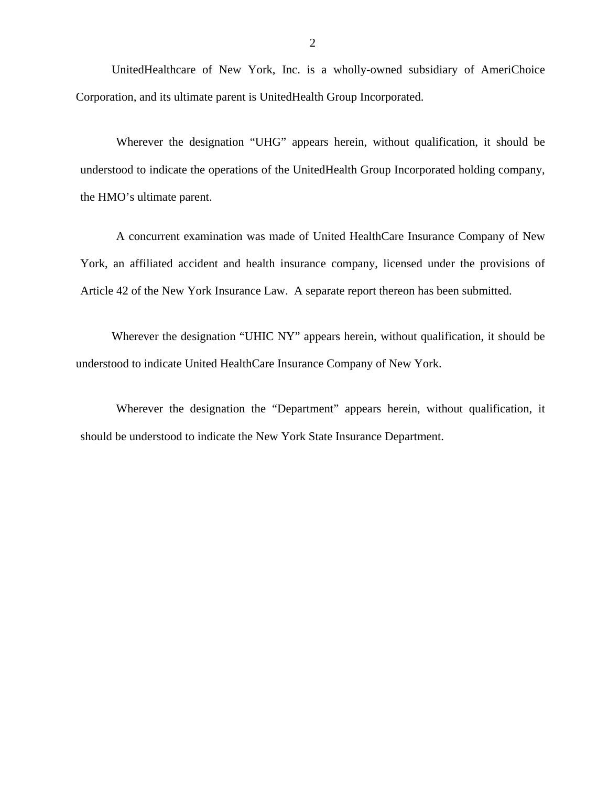UnitedHealthcare of New York, Inc. is a wholly-owned subsidiary of AmeriChoice Corporation, and its ultimate parent is UnitedHealth Group Incorporated.

Wherever the designation "UHG" appears herein, without qualification, it should be understood to indicate the operations of the UnitedHealth Group Incorporated holding company, the HMO's ultimate parent.

A concurrent examination was made of United HealthCare Insurance Company of New York, an affiliated accident and health insurance company, licensed under the provisions of Article 42 of the New York Insurance Law. A separate report thereon has been submitted.

Wherever the designation "UHIC NY" appears herein, without qualification, it should be understood to indicate United HealthCare Insurance Company of New York.

Wherever the designation the "Department" appears herein, without qualification, it should be understood to indicate the New York State Insurance Department.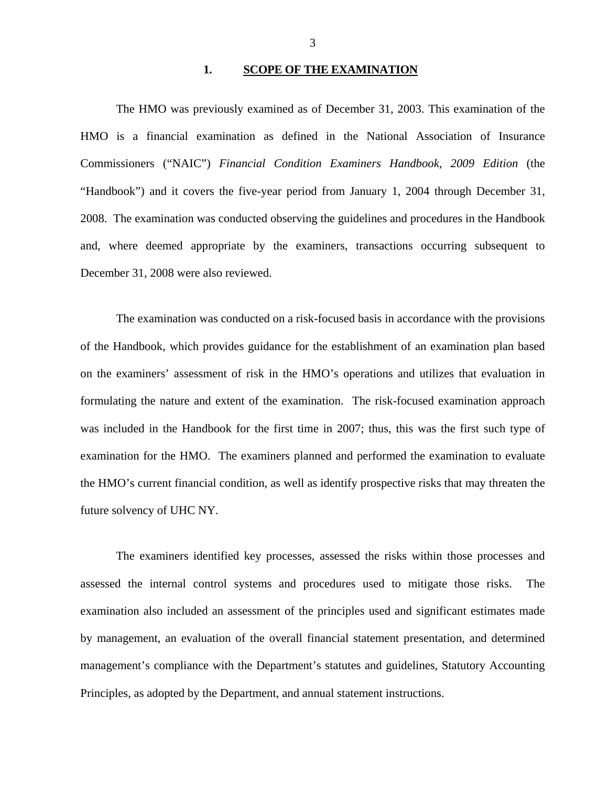#### **1. SCOPE OF THE EXAMINATION**

The HMO was previously examined as of December 31, 2003. This examination of the HMO is a financial examination as defined in the National Association of Insurance Commissioners ("NAIC") *Financial Condition Examiners Handbook, 2009 Edition* (the "Handbook") and it covers the five-year period from January 1, 2004 through December 31, 2008. The examination was conducted observing the guidelines and procedures in the Handbook and, where deemed appropriate by the examiners, transactions occurring subsequent to December 31, 2008 were also reviewed.

The examination was conducted on a risk-focused basis in accordance with the provisions of the Handbook, which provides guidance for the establishment of an examination plan based on the examiners' assessment of risk in the HMO's operations and utilizes that evaluation in formulating the nature and extent of the examination. The risk-focused examination approach was included in the Handbook for the first time in 2007; thus, this was the first such type of examination for the HMO. The examiners planned and performed the examination to evaluate the HMO's current financial condition, as well as identify prospective risks that may threaten the future solvency of UHC NY.

The examiners identified key processes, assessed the risks within those processes and assessed the internal control systems and procedures used to mitigate those risks. The examination also included an assessment of the principles used and significant estimates made by management, an evaluation of the overall financial statement presentation, and determined management's compliance with the Department's statutes and guidelines, Statutory Accounting Principles, as adopted by the Department, and annual statement instructions.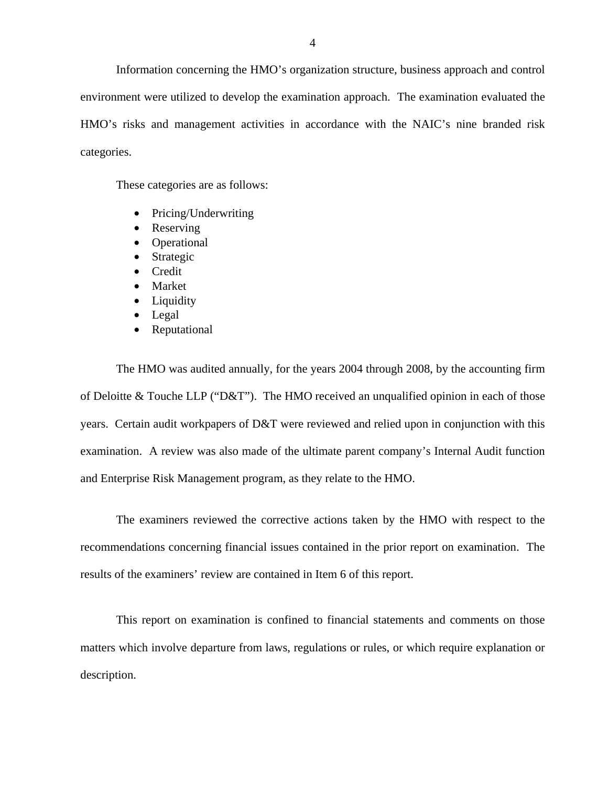Information concerning the HMO's organization structure, business approach and control environment were utilized to develop the examination approach. The examination evaluated the HMO's risks and management activities in accordance with the NAIC's nine branded risk categories.

These categories are as follows:

- Pricing/Underwriting
- **Reserving**
- Operational
- **Strategic**
- Credit
- **Market**
- Liquidity
- Legal
- Reputational

The HMO was audited annually, for the years 2004 through 2008, by the accounting firm of Deloitte & Touche LLP ("D&T"). The HMO received an unqualified opinion in each of those years. Certain audit workpapers of D&T were reviewed and relied upon in conjunction with this examination. A review was also made of the ultimate parent company's Internal Audit function and Enterprise Risk Management program, as they relate to the HMO.

The examiners reviewed the corrective actions taken by the HMO with respect to the recommendations concerning financial issues contained in the prior report on examination. The results of the examiners' review are contained in Item 6 of this report.

This report on examination is confined to financial statements and comments on those matters which involve departure from laws, regulations or rules, or which require explanation or description.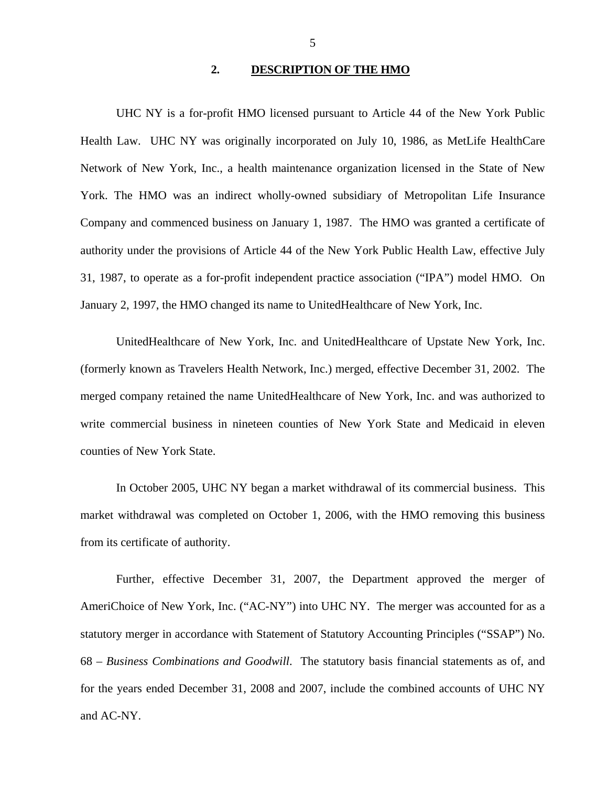#### **2. DESCRIPTION OF THE HMO**

UHC NY is a for-profit HMO licensed pursuant to Article 44 of the New York Public Health Law. UHC NY was originally incorporated on July 10, 1986, as MetLife HealthCare Network of New York, Inc., a health maintenance organization licensed in the State of New York. The HMO was an indirect wholly-owned subsidiary of Metropolitan Life Insurance Company and commenced business on January 1, 1987. The HMO was granted a certificate of authority under the provisions of Article 44 of the New York Public Health Law, effective July 31, 1987, to operate as a for-profit independent practice association ("IPA") model HMO. On January 2, 1997, the HMO changed its name to UnitedHealthcare of New York, Inc.

UnitedHealthcare of New York, Inc. and UnitedHealthcare of Upstate New York, Inc. (formerly known as Travelers Health Network, Inc.) merged, effective December 31, 2002. The merged company retained the name UnitedHealthcare of New York, Inc. and was authorized to write commercial business in nineteen counties of New York State and Medicaid in eleven counties of New York State.

In October 2005, UHC NY began a market withdrawal of its commercial business. This market withdrawal was completed on October 1, 2006, with the HMO removing this business from its certificate of authority.

 and AC-NY. Further, effective December 31, 2007, the Department approved the merger of AmeriChoice of New York, Inc. ("AC-NY") into UHC NY. The merger was accounted for as a statutory merger in accordance with Statement of Statutory Accounting Principles ("SSAP") No. 68 *– Business Combinations and Goodwill*. The statutory basis financial statements as of, and for the years ended December 31, 2008 and 2007, include the combined accounts of UHC NY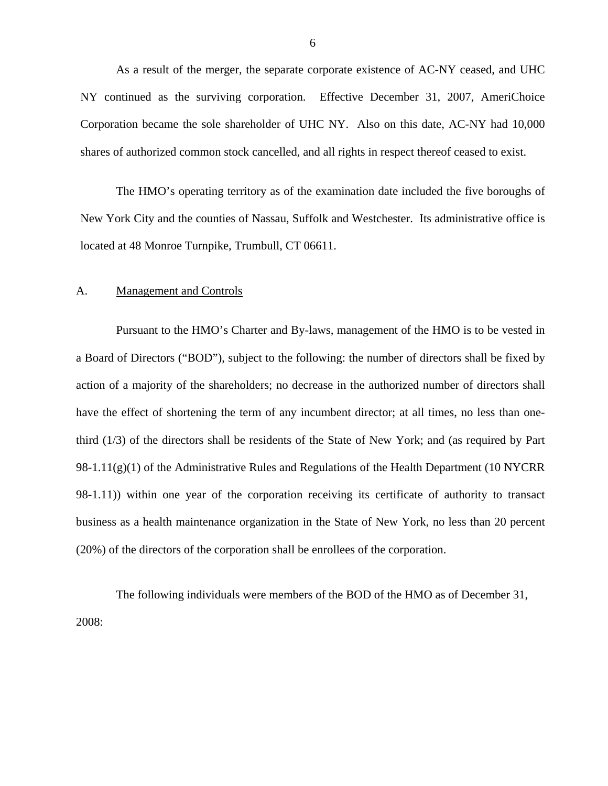<span id="page-7-0"></span>As a result of the merger, the separate corporate existence of AC-NY ceased, and UHC NY continued as the surviving corporation. Effective December 31, 2007, AmeriChoice Corporation became the sole shareholder of UHC NY. Also on this date, AC-NY had 10,000 shares of authorized common stock cancelled, and all rights in respect thereof ceased to exist.

The HMO's operating territory as of the examination date included the five boroughs of New York City and the counties of Nassau, Suffolk and Westchester. Its administrative office is located at 48 Monroe Turnpike, Trumbull, CT 06611.

#### A. Management and Controls

Pursuant to the HMO's Charter and By-laws, management of the HMO is to be vested in a Board of Directors ("BOD"), subject to the following: the number of directors shall be fixed by action of a majority of the shareholders; no decrease in the authorized number of directors shall have the effect of shortening the term of any incumbent director; at all times, no less than onethird (1/3) of the directors shall be residents of the State of New York; and (as required by Part 98-1.11(g)(1) of the Administrative Rules and Regulations of the Health Department (10 NYCRR 98-1.11)) within one year of the corporation receiving its certificate of authority to transact business as a health maintenance organization in the State of New York, no less than 20 percent (20%) of the directors of the corporation shall be enrollees of the corporation.

The following individuals were members of the BOD of the HMO as of December 31, 2008:

6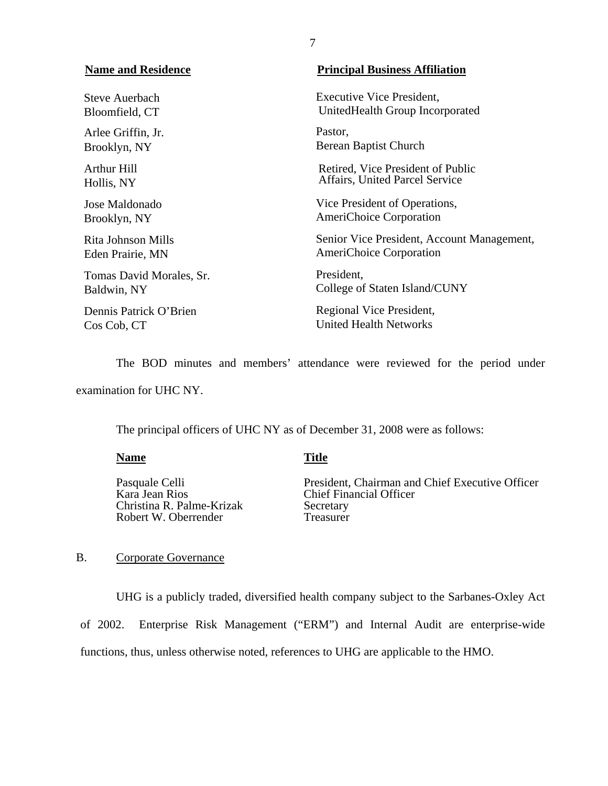Arlee Griffin, Jr. Pastor,

Tomas David Morales, Sr. President,

#### <span id="page-8-0"></span>**Name and Residence Principal Business Affiliation**

Steve Auerbach Executive Vice President, Bloomfield, CT UnitedHealth Group Incorporated

Brooklyn, NY Berean Baptist Church

Arthur Hill **Retired**, Vice President of Public Hollis, NY Affairs, United Parcel Service

Jose Maldonado Vice President of Operations, Brooklyn, NY AmeriChoice Corporation

Rita Johnson Mills Senior Vice President, Account Management, Eden Prairie, MN AmeriChoice Corporation

Baldwin, NY College of Staten Island/CUNY

Dennis Patrick O'Brien Regional Vice President, Cos Cob, CT United Health Networks

The BOD minutes and members' attendance were reviewed for the period under

examination for UHC NY.

The principal officers of UHC NY as of December 31, 2008 were as follows:

#### **Name** Title

Christina R. Palme-Krizak Secretary<br>
Robert W. Oberrender Treasurer Robert W. Oberrender

Pasquale Celli President, Chairman and Chief Executive Officer<br>
Rara Jean Rios Chief Financial Officer **Chief Financial Officer** 

#### B. Corporate Governance

UHG is a publicly traded, diversified health company subject to the Sarbanes-Oxley Act of 2002. Enterprise Risk Management ("ERM") and Internal Audit are enterprise-wide functions, thus, unless otherwise noted, references to UHG are applicable to the HMO.

#### 7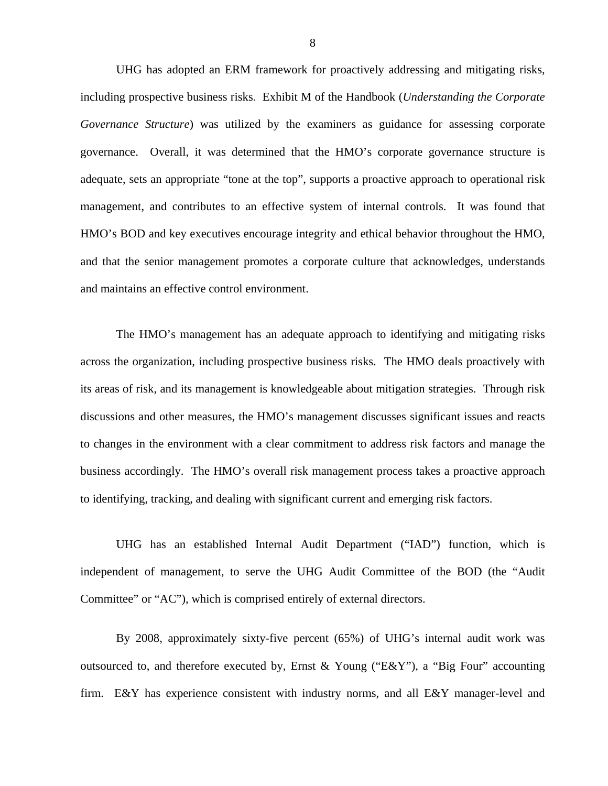UHG has adopted an ERM framework for proactively addressing and mitigating risks, including prospective business risks. Exhibit M of the Handbook (*Understanding the Corporate Governance Structure*) was utilized by the examiners as guidance for assessing corporate governance. Overall, it was determined that the HMO's corporate governance structure is adequate, sets an appropriate "tone at the top", supports a proactive approach to operational risk management, and contributes to an effective system of internal controls. It was found that HMO's BOD and key executives encourage integrity and ethical behavior throughout the HMO, and that the senior management promotes a corporate culture that acknowledges, understands and maintains an effective control environment.

The HMO's management has an adequate approach to identifying and mitigating risks across the organization, including prospective business risks. The HMO deals proactively with its areas of risk, and its management is knowledgeable about mitigation strategies. Through risk discussions and other measures, the HMO's management discusses significant issues and reacts to changes in the environment with a clear commitment to address risk factors and manage the business accordingly. The HMO's overall risk management process takes a proactive approach to identifying, tracking, and dealing with significant current and emerging risk factors.

Committee" or "AC"), which is comprised entirely of external directors. UHG has an established Internal Audit Department ("IAD") function, which is independent of management, to serve the UHG Audit Committee of the BOD (the "Audit

By 2008, approximately sixty-five percent (65%) of UHG's internal audit work was outsourced to, and therefore executed by, Ernst & Young ("E&Y"), a "Big Four" accounting firm. E&Y has experience consistent with industry norms, and all E&Y manager-level and

8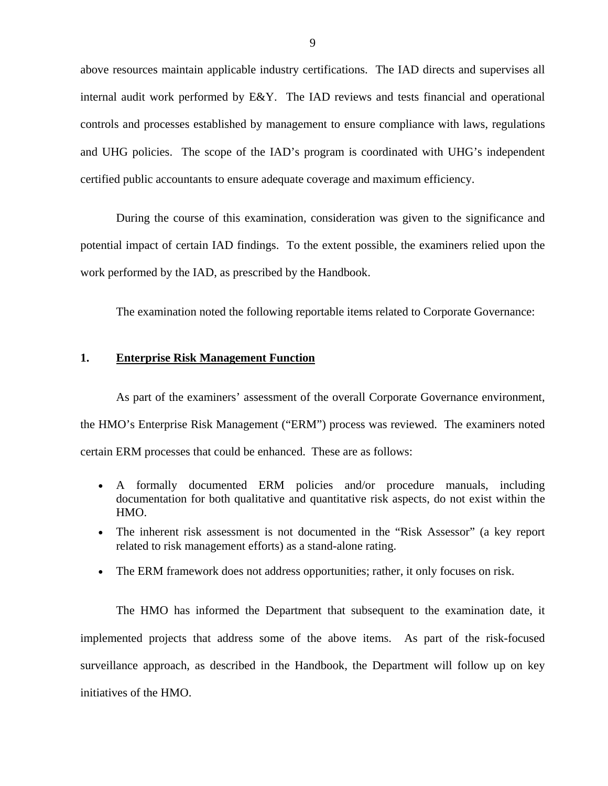above resources maintain applicable industry certifications. The IAD directs and supervises all internal audit work performed by E&Y. The IAD reviews and tests financial and operational controls and processes established by management to ensure compliance with laws, regulations and UHG policies. The scope of the IAD's program is coordinated with UHG's independent certified public accountants to ensure adequate coverage and maximum efficiency.

During the course of this examination, consideration was given to the significance and potential impact of certain IAD findings. To the extent possible, the examiners relied upon the work performed by the IAD, as prescribed by the Handbook.

The examination noted the following reportable items related to Corporate Governance:

#### **1. Enterprise Risk Management Function**

As part of the examiners' assessment of the overall Corporate Governance environment, the HMO's Enterprise Risk Management ("ERM") process was reviewed. The examiners noted certain ERM processes that could be enhanced. These are as follows:

- A formally documented ERM policies and/or procedure manuals, including documentation for both qualitative and quantitative risk aspects, do not exist within the HMO.
- The inherent risk assessment is not documented in the "Risk Assessor" (a key report related to risk management efforts) as a stand-alone rating.
- The ERM framework does not address opportunities; rather, it only focuses on risk.

The HMO has informed the Department that subsequent to the examination date, it implemented projects that address some of the above items. As part of the risk-focused surveillance approach, as described in the Handbook, the Department will follow up on key initiatives of the HMO.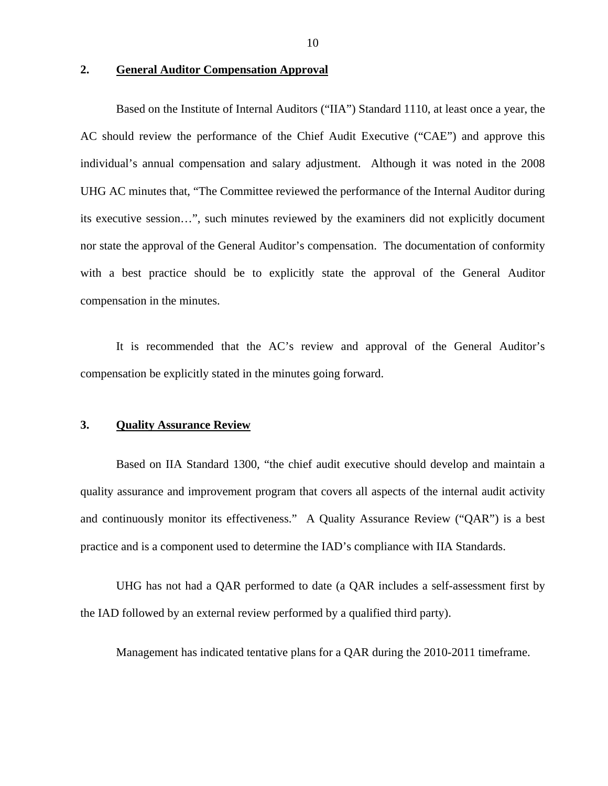#### **2. General Auditor Compensation Approval**

Based on the Institute of Internal Auditors ("IIA") Standard 1110, at least once a year, the AC should review the performance of the Chief Audit Executive ("CAE") and approve this individual's annual compensation and salary adjustment. Although it was noted in the 2008 UHG AC minutes that, "The Committee reviewed the performance of the Internal Auditor during its executive session…", such minutes reviewed by the examiners did not explicitly document nor state the approval of the General Auditor's compensation. The documentation of conformity with a best practice should be to explicitly state the approval of the General Auditor compensation in the minutes.

It is recommended that the AC's review and approval of the General Auditor's compensation be explicitly stated in the minutes going forward.

#### **3. Quality Assurance Review**

Based on IIA Standard 1300, "the chief audit executive should develop and maintain a quality assurance and improvement program that covers all aspects of the internal audit activity and continuously monitor its effectiveness." A Quality Assurance Review ("QAR") is a best practice and is a component used to determine the IAD's compliance with IIA Standards.

UHG has not had a QAR performed to date (a QAR includes a self-assessment first by the IAD followed by an external review performed by a qualified third party).

Management has indicated tentative plans for a QAR during the 2010-2011 timeframe.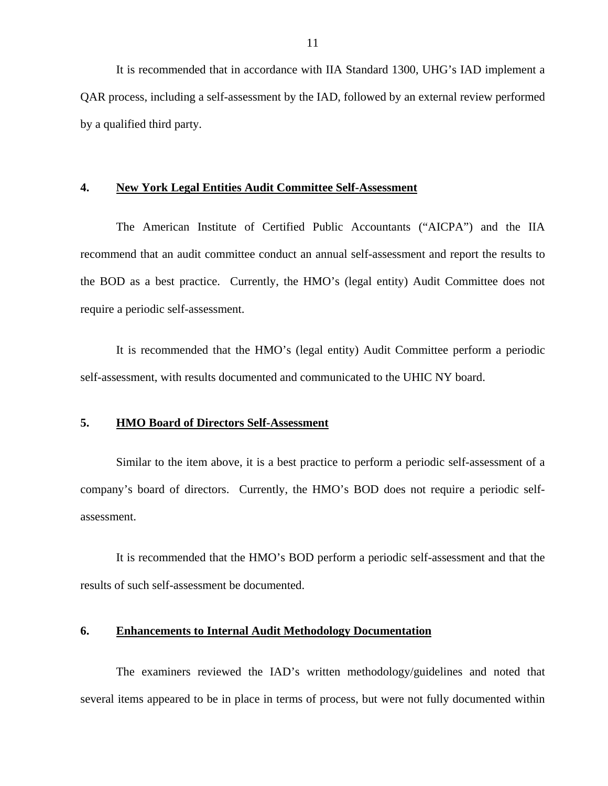It is recommended that in accordance with IIA Standard 1300, UHG's IAD implement a QAR process, including a self-assessment by the IAD, followed by an external review performed by a qualified third party.

#### **4. New York Legal Entities Audit Committee Self-Assessment**

The American Institute of Certified Public Accountants ("AICPA") and the IIA recommend that an audit committee conduct an annual self-assessment and report the results to the BOD as a best practice. Currently, the HMO's (legal entity) Audit Committee does not require a periodic self-assessment.

It is recommended that the HMO's (legal entity) Audit Committee perform a periodic self-assessment, with results documented and communicated to the UHIC NY board.

#### **5. HMO Board of Directors Self-Assessment**

Similar to the item above, it is a best practice to perform a periodic self-assessment of a company's board of directors. Currently, the HMO's BOD does not require a periodic selfassessment.

It is recommended that the HMO's BOD perform a periodic self-assessment and that the results of such self-assessment be documented.

#### **6. Enhancements to Internal Audit Methodology Documentation**

The examiners reviewed the IAD's written methodology/guidelines and noted that several items appeared to be in place in terms of process, but were not fully documented within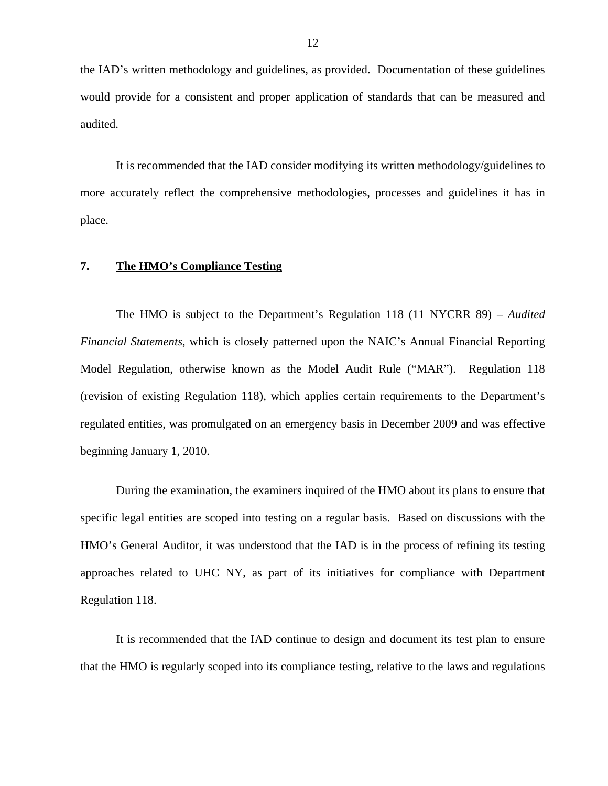the IAD's written methodology and guidelines, as provided. Documentation of these guidelines would provide for a consistent and proper application of standards that can be measured and audited.

It is recommended that the IAD consider modifying its written methodology/guidelines to more accurately reflect the comprehensive methodologies, processes and guidelines it has in place.

#### **7. The HMO's Compliance Testing**

The HMO is subject to the Department's Regulation 118 (11 NYCRR 89) – *Audited Financial Statements*, which is closely patterned upon the NAIC's Annual Financial Reporting Model Regulation, otherwise known as the Model Audit Rule ("MAR"). Regulation 118 (revision of existing Regulation 118), which applies certain requirements to the Department's regulated entities, was promulgated on an emergency basis in December 2009 and was effective beginning January 1, 2010.

During the examination, the examiners inquired of the HMO about its plans to ensure that specific legal entities are scoped into testing on a regular basis. Based on discussions with the HMO's General Auditor, it was understood that the IAD is in the process of refining its testing approaches related to UHC NY, as part of its initiatives for compliance with Department Regulation 118.

It is recommended that the IAD continue to design and document its test plan to ensure that the HMO is regularly scoped into its compliance testing, relative to the laws and regulations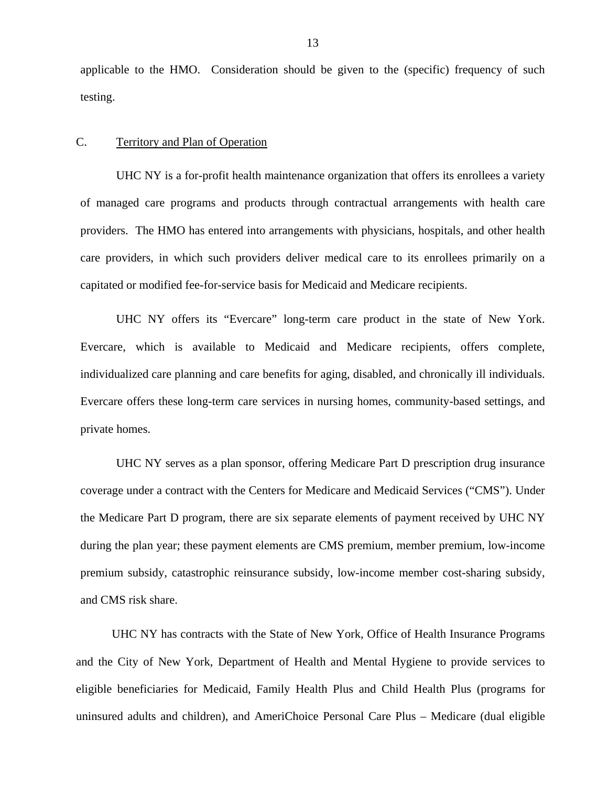<span id="page-14-0"></span>applicable to the HMO. Consideration should be given to the (specific) frequency of such testing.

#### C. Territory and Plan of Operation

UHC NY is a for-profit health maintenance organization that offers its enrollees a variety of managed care programs and products through contractual arrangements with health care providers. The HMO has entered into arrangements with physicians, hospitals, and other health care providers, in which such providers deliver medical care to its enrollees primarily on a capitated or modified fee-for-service basis for Medicaid and Medicare recipients.

UHC NY offers its "Evercare" long-term care product in the state of New York. Evercare, which is available to Medicaid and Medicare recipients, offers complete, individualized care planning and care benefits for aging, disabled, and chronically ill individuals. Evercare offers these long-term care services in nursing homes, community-based settings, and private homes.

UHC NY serves as a plan sponsor, offering Medicare Part D prescription drug insurance coverage under a contract with the Centers for Medicare and Medicaid Services ("CMS"). Under the Medicare Part D program, there are six separate elements of payment received by UHC NY during the plan year; these payment elements are CMS premium, member premium, low-income premium subsidy, catastrophic reinsurance subsidy, low-income member cost-sharing subsidy, and CMS risk share.

UHC NY has contracts with the State of New York, Office of Health Insurance Programs and the City of New York, Department of Health and Mental Hygiene to provide services to eligible beneficiaries for Medicaid, Family Health Plus and Child Health Plus (programs for uninsured adults and children), and AmeriChoice Personal Care Plus – Medicare (dual eligible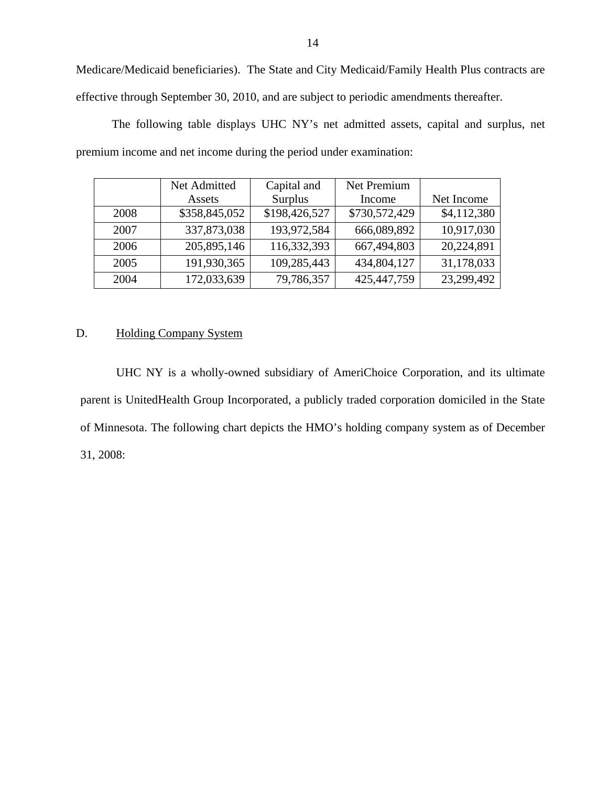Medicare/Medicaid beneficiaries). The State and City Medicaid/Family Health Plus contracts are effective through September 30, 2010, and are subject to periodic amendments thereafter.

The following table displays UHC NY's net admitted assets, capital and surplus, net premium income and net income during the period under examination:

|      | Net Admitted  | Capital and   | Net Premium   |             |
|------|---------------|---------------|---------------|-------------|
|      | Assets        | Surplus       | Income        | Net Income  |
| 2008 | \$358,845,052 | \$198,426,527 | \$730,572,429 | \$4,112,380 |
| 2007 | 337,873,038   | 193,972,584   | 666,089,892   | 10,917,030  |
| 2006 | 205,895,146   | 116,332,393   | 667,494,803   | 20,224,891  |
| 2005 | 191,930,365   | 109,285,443   | 434,804,127   | 31,178,033  |
| 2004 | 172,033,639   | 79,786,357    | 425, 447, 759 | 23,299,492  |

#### D. Holding Company System

UHC NY is a wholly-owned subsidiary of AmeriChoice Corporation, and its ultimate parent is UnitedHealth Group Incorporated, a publicly traded corporation domiciled in the State of Minnesota. The following chart depicts the HMO's holding company system as of December 31, 2008: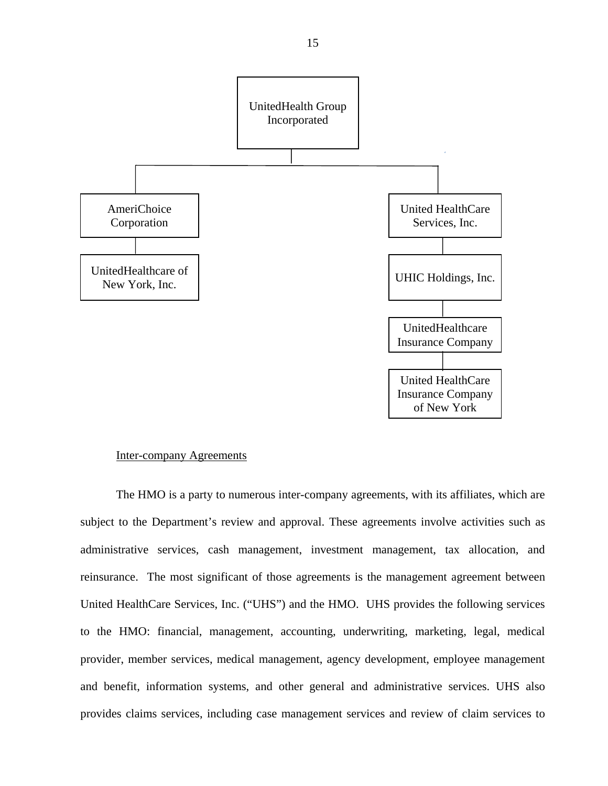

#### Inter-company Agreements

The HMO is a party to numerous inter-company agreements, with its affiliates, which are subject to the Department's review and approval. These agreements involve activities such as administrative services, cash management, investment management, tax allocation, and reinsurance. The most significant of those agreements is the management agreement between United HealthCare Services, Inc. ("UHS") and the HMO. UHS provides the following services to the HMO: financial, management, accounting, underwriting, marketing, legal, medical provider, member services, medical management, agency development, employee management and benefit, information systems, and other general and administrative services. UHS also provides claims services, including case management services and review of claim services to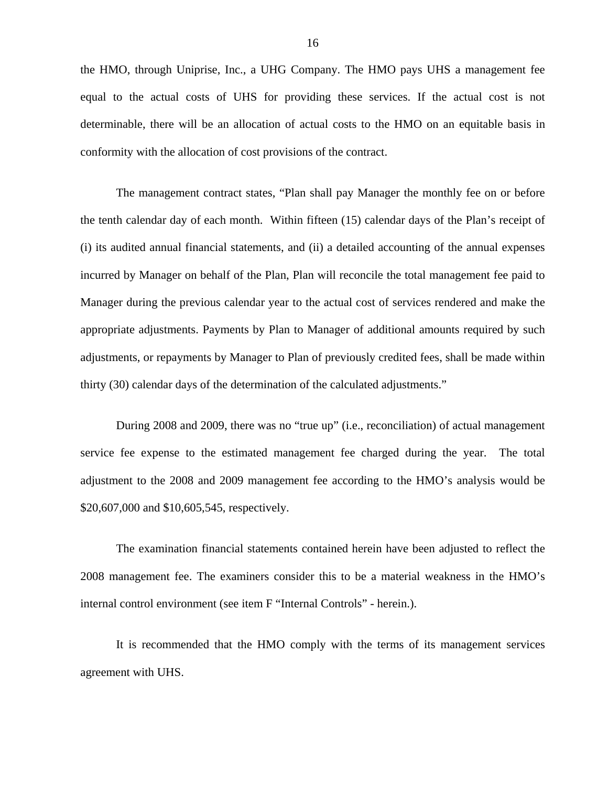the HMO, through Uniprise, Inc., a UHG Company. The HMO pays UHS a management fee equal to the actual costs of UHS for providing these services. If the actual cost is not determinable, there will be an allocation of actual costs to the HMO on an equitable basis in conformity with the allocation of cost provisions of the contract.

The management contract states, "Plan shall pay Manager the monthly fee on or before the tenth calendar day of each month. Within fifteen (15) calendar days of the Plan's receipt of (i) its audited annual financial statements, and (ii) a detailed accounting of the annual expenses incurred by Manager on behalf of the Plan, Plan will reconcile the total management fee paid to Manager during the previous calendar year to the actual cost of services rendered and make the appropriate adjustments. Payments by Plan to Manager of additional amounts required by such adjustments, or repayments by Manager to Plan of previously credited fees, shall be made within thirty (30) calendar days of the determination of the calculated adjustments."

During 2008 and 2009, there was no "true up" (i.e., reconciliation) of actual management service fee expense to the estimated management fee charged during the year. The total adjustment to the 2008 and 2009 management fee according to the HMO's analysis would be \$20,607,000 and \$10,605,545, respectively.

The examination financial statements contained herein have been adjusted to reflect the 2008 management fee. The examiners consider this to be a material weakness in the HMO's internal control environment (see item F "Internal Controls" - herein.).

It is recommended that the HMO comply with the terms of its management services agreement with UHS.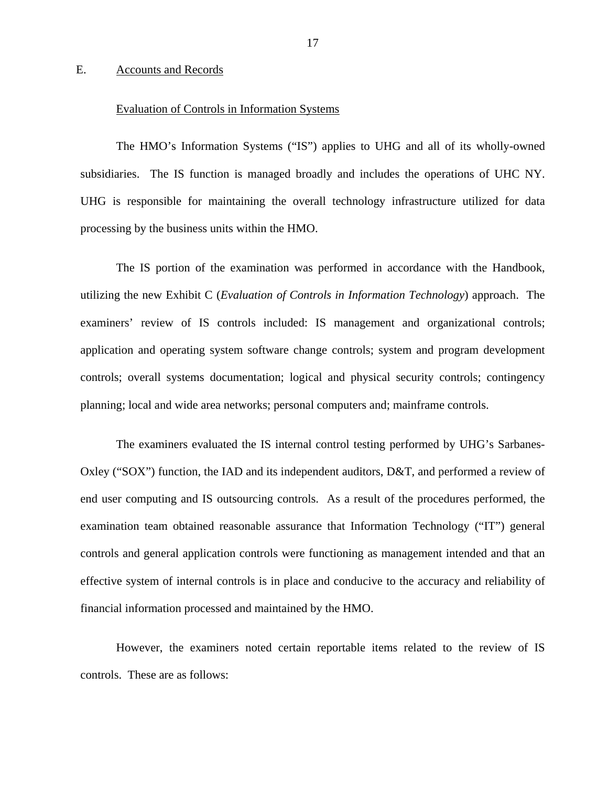#### <span id="page-18-0"></span>E. Accounts and Records

#### Evaluation of Controls in Information Systems

The HMO's Information Systems ("IS") applies to UHG and all of its wholly-owned subsidiaries. The IS function is managed broadly and includes the operations of UHC NY. UHG is responsible for maintaining the overall technology infrastructure utilized for data processing by the business units within the HMO.

The IS portion of the examination was performed in accordance with the Handbook, utilizing the new Exhibit C (*Evaluation of Controls in Information Technology*) approach. The examiners' review of IS controls included: IS management and organizational controls; application and operating system software change controls; system and program development controls; overall systems documentation; logical and physical security controls; contingency planning; local and wide area networks; personal computers and; mainframe controls.

The examiners evaluated the IS internal control testing performed by UHG's Sarbanes-Oxley ("SOX") function, the IAD and its independent auditors, D&T, and performed a review of end user computing and IS outsourcing controls. As a result of the procedures performed, the examination team obtained reasonable assurance that Information Technology ("IT") general controls and general application controls were functioning as management intended and that an effective system of internal controls is in place and conducive to the accuracy and reliability of financial information processed and maintained by the HMO.

However, the examiners noted certain reportable items related to the review of IS controls. These are as follows: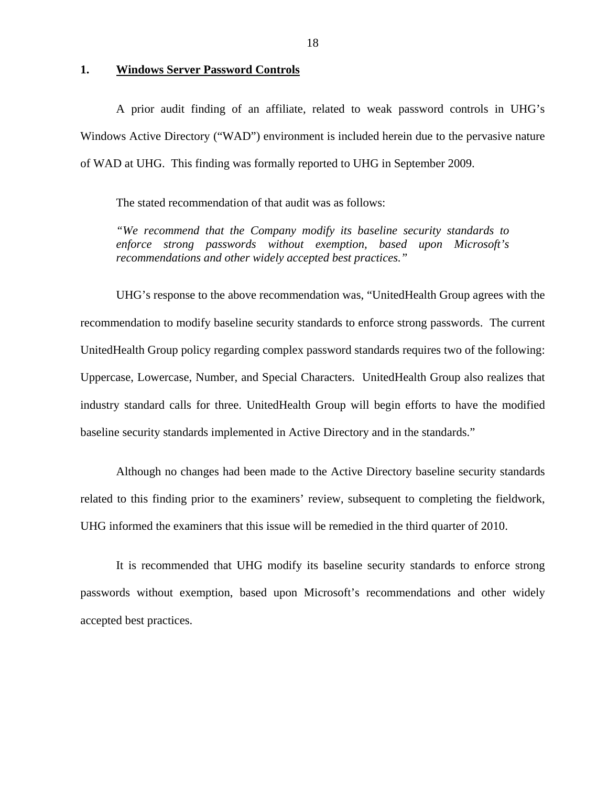#### **1. Windows Server Password Controls**

A prior audit finding of an affiliate, related to weak password controls in UHG's Windows Active Directory ("WAD") environment is included herein due to the pervasive nature of WAD at UHG. This finding was formally reported to UHG in September 2009.

The stated recommendation of that audit was as follows:

*"We recommend that the Company modify its baseline security standards to enforce strong passwords without exemption, based upon Microsoft's recommendations and other widely accepted best practices."* 

UHG's response to the above recommendation was, "UnitedHealth Group agrees with the recommendation to modify baseline security standards to enforce strong passwords. The current UnitedHealth Group policy regarding complex password standards requires two of the following: Uppercase, Lowercase, Number, and Special Characters. UnitedHealth Group also realizes that industry standard calls for three. UnitedHealth Group will begin efforts to have the modified baseline security standards implemented in Active Directory and in the standards."

Although no changes had been made to the Active Directory baseline security standards related to this finding prior to the examiners' review, subsequent to completing the fieldwork, UHG informed the examiners that this issue will be remedied in the third quarter of 2010.

It is recommended that UHG modify its baseline security standards to enforce strong passwords without exemption, based upon Microsoft's recommendations and other widely accepted best practices.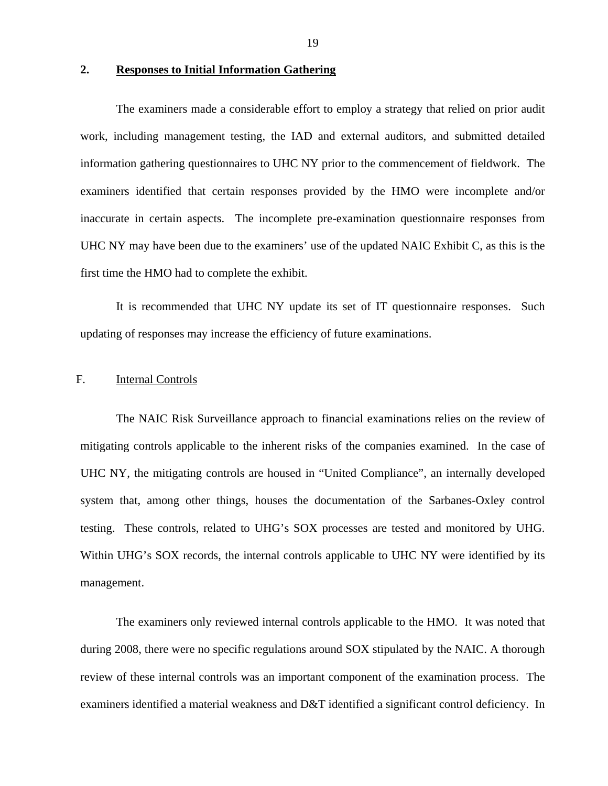#### <span id="page-20-0"></span>**2. Responses to Initial Information Gathering**

The examiners made a considerable effort to employ a strategy that relied on prior audit work, including management testing, the IAD and external auditors, and submitted detailed information gathering questionnaires to UHC NY prior to the commencement of fieldwork. The examiners identified that certain responses provided by the HMO were incomplete and/or inaccurate in certain aspects. The incomplete pre-examination questionnaire responses from UHC NY may have been due to the examiners' use of the updated NAIC Exhibit C, as this is the first time the HMO had to complete the exhibit.

It is recommended that UHC NY update its set of IT questionnaire responses. Such updating of responses may increase the efficiency of future examinations.

#### $F<sub>r</sub>$ **Internal Controls**

The NAIC Risk Surveillance approach to financial examinations relies on the review of mitigating controls applicable to the inherent risks of the companies examined. In the case of UHC NY, the mitigating controls are housed in "United Compliance", an internally developed system that, among other things, houses the documentation of the Sarbanes-Oxley control testing. These controls, related to UHG's SOX processes are tested and monitored by UHG. Within UHG's SOX records, the internal controls applicable to UHC NY were identified by its management.

The examiners only reviewed internal controls applicable to the HMO. It was noted that during 2008, there were no specific regulations around SOX stipulated by the NAIC. A thorough review of these internal controls was an important component of the examination process. The examiners identified a material weakness and D&T identified a significant control deficiency. In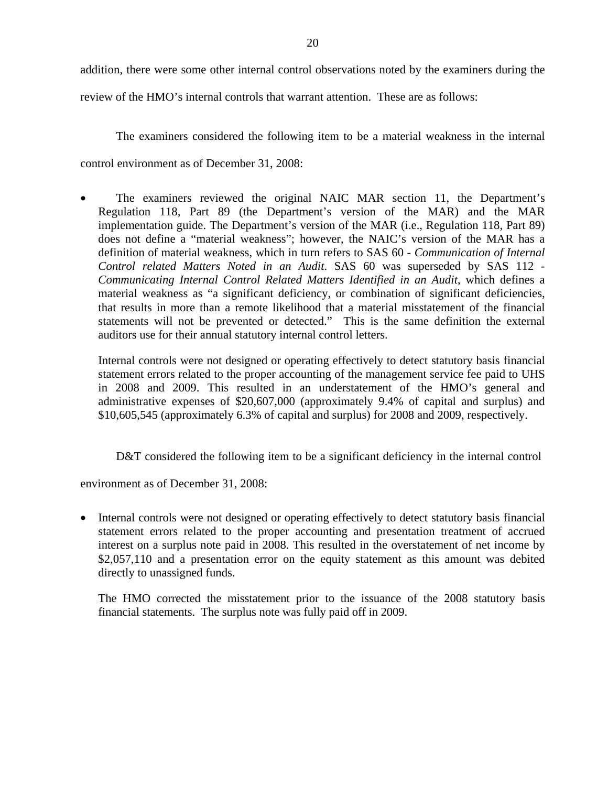addition, there were some other internal control observations noted by the examiners during the review of the HMO's internal controls that warrant attention. These are as follows:

The examiners considered the following item to be a material weakness in the internal control environment as of December 31, 2008:

• The examiners reviewed the original NAIC MAR section 11, the Department's Regulation 118, Part 89 (the Department's version of the MAR) and the MAR implementation guide. The Department's version of the MAR (i.e., Regulation 118, Part 89) does not define a "material weakness"; however, the NAIC's version of the MAR has a definition of material weakness, which in turn refers to SAS 60 - *Communication of Internal Control related Matters Noted in an Audit*. SAS 60 was superseded by SAS 112 - *Communicating Internal Control Related Matters Identified in an Audit*, which defines a material weakness as "a significant deficiency, or combination of significant deficiencies, that results in more than a remote likelihood that a material misstatement of the financial statements will not be prevented or detected." This is the same definition the external auditors use for their annual statutory internal control letters.

Internal controls were not designed or operating effectively to detect statutory basis financial statement errors related to the proper accounting of the management service fee paid to UHS in 2008 and 2009. This resulted in an understatement of the HMO's general and administrative expenses of \$20,607,000 (approximately 9.4% of capital and surplus) and \$10,605,545 (approximately 6.3% of capital and surplus) for 2008 and 2009, respectively.

D&T considered the following item to be a significant deficiency in the internal control

environment as of December 31, 2008:

• Internal controls were not designed or operating effectively to detect statutory basis financial statement errors related to the proper accounting and presentation treatment of accrued interest on a surplus note paid in 2008. This resulted in the overstatement of net income by \$2,057,110 and a presentation error on the equity statement as this amount was debited directly to unassigned funds.

The HMO corrected the misstatement prior to the issuance of the 2008 statutory basis financial statements. The surplus note was fully paid off in 2009.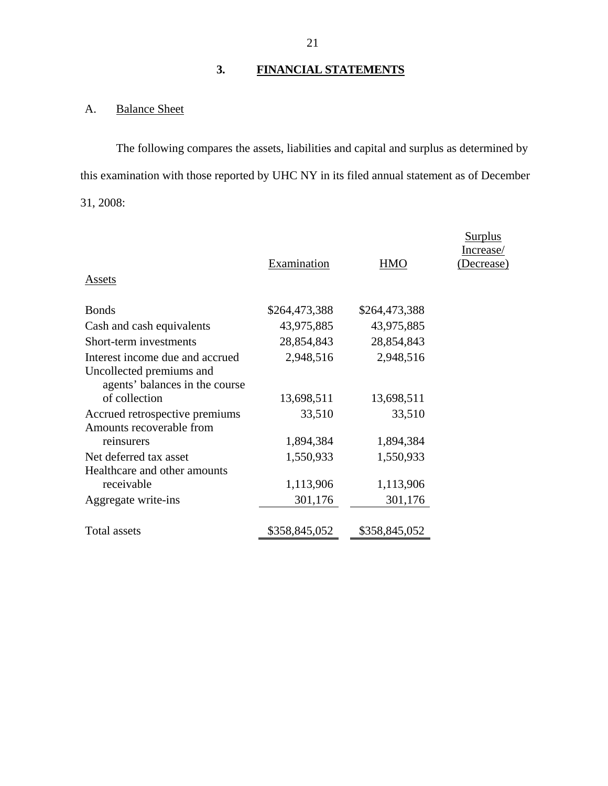## **3. FINANCIAL STATEMENTS**

## A. Balance Sheet

The following compares the assets, liabilities and capital and surplus as determined by this examination with those reported by UHC NY in its filed annual statement as of December 31, 2008:

| Assets                                                      | Examination   | <b>HMO</b>    | <b>Surplus</b><br>Increase/<br>(Decrease) |
|-------------------------------------------------------------|---------------|---------------|-------------------------------------------|
|                                                             |               |               |                                           |
| <b>Bonds</b>                                                | \$264,473,388 | \$264,473,388 |                                           |
| Cash and cash equivalents                                   | 43,975,885    | 43,975,885    |                                           |
| Short-term investments                                      | 28,854,843    | 28,854,843    |                                           |
| Interest income due and accrued<br>Uncollected premiums and | 2,948,516     | 2,948,516     |                                           |
| agents' balances in the course<br>of collection             | 13,698,511    | 13,698,511    |                                           |
| Accrued retrospective premiums                              | 33,510        | 33,510        |                                           |
| Amounts recoverable from<br>reinsurers                      | 1,894,384     | 1,894,384     |                                           |
| Net deferred tax asset                                      | 1,550,933     | 1,550,933     |                                           |
| Healthcare and other amounts                                |               |               |                                           |
| receivable                                                  | 1,113,906     | 1,113,906     |                                           |
| Aggregate write-ins                                         | 301,176       | 301,176       |                                           |
| <b>Total assets</b>                                         | \$358,845,052 | \$358,845,052 |                                           |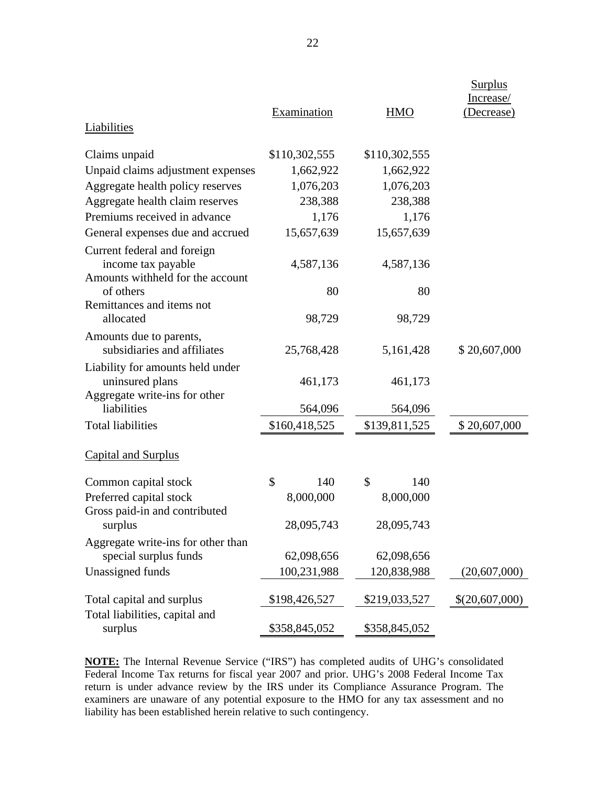| Liabilities                                                                           | Examination   | <b>HMO</b>    | <b>Surplus</b><br>Increase/<br>(Decrease) |
|---------------------------------------------------------------------------------------|---------------|---------------|-------------------------------------------|
| Claims unpaid                                                                         | \$110,302,555 | \$110,302,555 |                                           |
| Unpaid claims adjustment expenses                                                     | 1,662,922     | 1,662,922     |                                           |
| Aggregate health policy reserves                                                      | 1,076,203     | 1,076,203     |                                           |
| Aggregate health claim reserves                                                       | 238,388       | 238,388       |                                           |
| Premiums received in advance                                                          | 1,176         | 1,176         |                                           |
| General expenses due and accrued                                                      | 15,657,639    | 15,657,639    |                                           |
| Current federal and foreign<br>income tax payable<br>Amounts withheld for the account | 4,587,136     | 4,587,136     |                                           |
| of others                                                                             | 80            | 80            |                                           |
| Remittances and items not<br>allocated                                                | 98,729        | 98,729        |                                           |
| Amounts due to parents,<br>subsidiaries and affiliates                                | 25,768,428    | 5,161,428     | \$20,607,000                              |
| Liability for amounts held under<br>uninsured plans                                   | 461,173       | 461,173       |                                           |
| Aggregate write-ins for other<br>liabilities                                          | 564,096       | 564,096       |                                           |
| <b>Total liabilities</b>                                                              | \$160,418,525 | \$139,811,525 | \$20,607,000                              |
| <b>Capital and Surplus</b>                                                            |               |               |                                           |
| Common capital stock                                                                  | \$<br>140     | \$<br>140     |                                           |
| Preferred capital stock                                                               | 8,000,000     | 8,000,000     |                                           |
| Gross paid-in and contributed<br>surplus                                              | 28,095,743    | 28,095,743    |                                           |
| Aggregate write-ins for other than<br>special surplus funds                           | 62,098,656    | 62,098,656    |                                           |
| Unassigned funds                                                                      | 100,231,988   | 120,838,988   | (20, 607, 000)                            |
| Total capital and surplus                                                             | \$198,426,527 | \$219,033,527 | \$(20,607,000)                            |
| Total liabilities, capital and<br>surplus                                             | \$358,845,052 | \$358,845,052 |                                           |

 liability has been established herein relative to such contingency. **NOTE:** The Internal Revenue Service ("IRS") has completed audits of UHG's consolidated Federal Income Tax returns for fiscal year 2007 and prior. UHG's 2008 Federal Income Tax return is under advance review by the IRS under its Compliance Assurance Program. The examiners are unaware of any potential exposure to the HMO for any tax assessment and no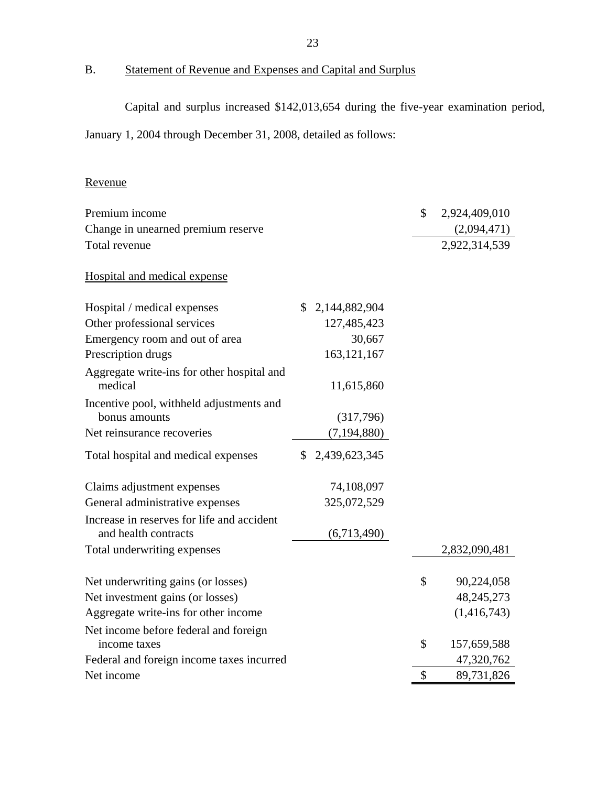## B. Statement of Revenue and Expenses and Capital and Surplus

Capital and surplus increased \$142,013,654 during the five-year examination period,

January 1, 2004 through December 31, 2008, detailed as follows:

| Revenue                                                            |                     |                     |
|--------------------------------------------------------------------|---------------------|---------------------|
| Premium income                                                     |                     | \$<br>2,924,409,010 |
| Change in unearned premium reserve                                 |                     | (2,094,471)         |
| Total revenue                                                      |                     | 2,922,314,539       |
| Hospital and medical expense                                       |                     |                     |
| Hospital / medical expenses                                        | S.<br>2,144,882,904 |                     |
| Other professional services                                        | 127,485,423         |                     |
| Emergency room and out of area                                     | 30,667              |                     |
| Prescription drugs                                                 | 163, 121, 167       |                     |
| Aggregate write-ins for other hospital and<br>medical              | 11,615,860          |                     |
| Incentive pool, withheld adjustments and<br>bonus amounts          | (317,796)           |                     |
| Net reinsurance recoveries                                         | (7, 194, 880)       |                     |
| Total hospital and medical expenses                                | \$<br>2,439,623,345 |                     |
| Claims adjustment expenses                                         | 74,108,097          |                     |
| General administrative expenses                                    | 325,072,529         |                     |
| Increase in reserves for life and accident<br>and health contracts | (6,713,490)         |                     |
| Total underwriting expenses                                        |                     | 2,832,090,481       |
|                                                                    |                     |                     |
| Net underwriting gains (or losses)                                 |                     | \$<br>90,224,058    |
| Net investment gains (or losses)                                   |                     | 48, 245, 273        |
| Aggregate write-ins for other income                               |                     | (1,416,743)         |
| Net income before federal and foreign<br>income taxes              |                     | \$<br>157,659,588   |
| Federal and foreign income taxes incurred                          |                     | 47,320,762          |
| Net income                                                         |                     | \$<br>89,731,826    |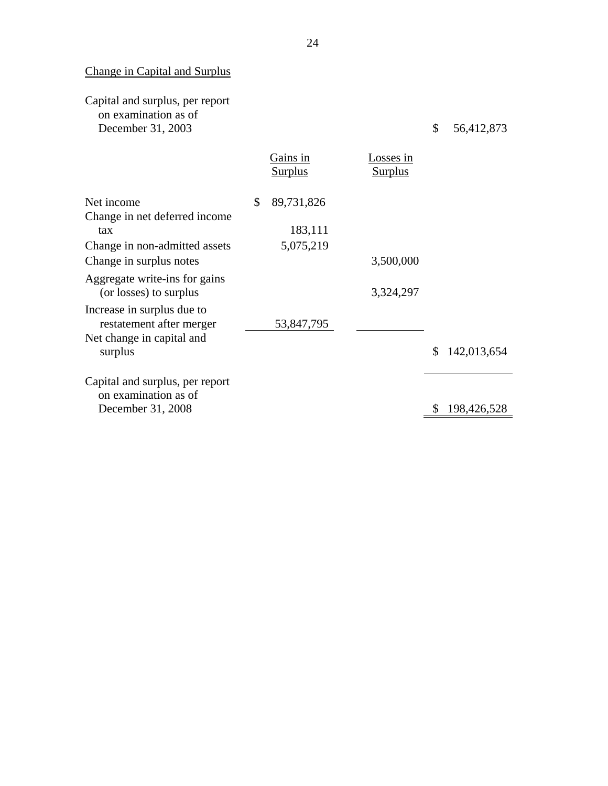# **Change in Capital and Surplus** Change in Capital and Surplus Capital and surplus, per report

on examination as of December 31, 2003 \$ 56,412,873

|                                                                              | Gains in<br><b>Surplus</b> | osses in<br><u>Surplus</u> |             |
|------------------------------------------------------------------------------|----------------------------|----------------------------|-------------|
| Net income<br>Change in net deferred income                                  | \$<br>89,731,826           |                            |             |
| tax                                                                          | 183,111                    |                            |             |
| Change in non-admitted assets                                                | 5,075,219                  |                            |             |
| Change in surplus notes                                                      |                            | 3,500,000                  |             |
| Aggregate write-ins for gains<br>(or losses) to surplus                      |                            | 3,324,297                  |             |
| Increase in surplus due to<br>restatement after merger                       | 53,847,795                 |                            |             |
| Net change in capital and<br>surplus                                         |                            |                            | 142,013,654 |
| Capital and surplus, per report<br>on examination as of<br>December 31, 2008 |                            |                            | 198,426,528 |
|                                                                              |                            |                            |             |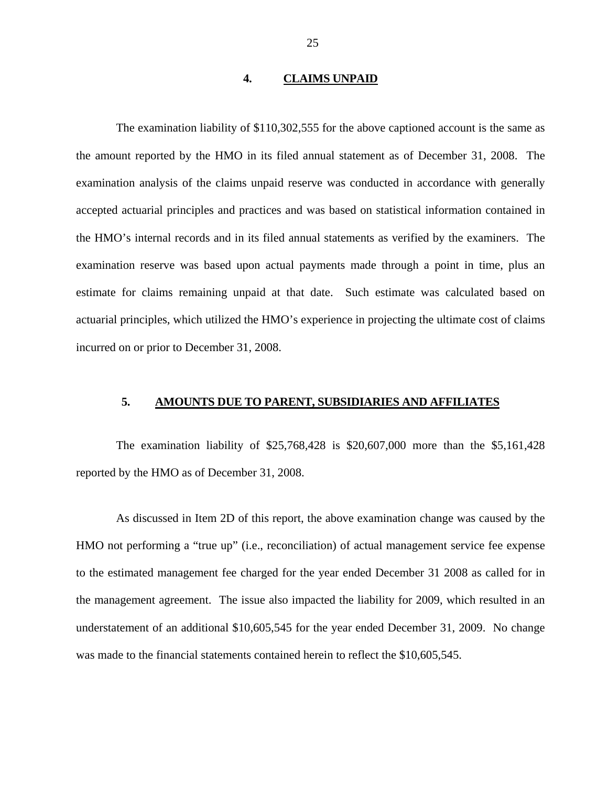#### **4. CLAIMS UNPAID**

<span id="page-26-0"></span>The examination liability of \$110,302,555 for the above captioned account is the same as the amount reported by the HMO in its filed annual statement as of December 31, 2008. The examination analysis of the claims unpaid reserve was conducted in accordance with generally accepted actuarial principles and practices and was based on statistical information contained in the HMO's internal records and in its filed annual statements as verified by the examiners. The examination reserve was based upon actual payments made through a point in time, plus an estimate for claims remaining unpaid at that date. Such estimate was calculated based on actuarial principles, which utilized the HMO's experience in projecting the ultimate cost of claims incurred on or prior to December 31, 2008.

#### **5. AMOUNTS DUE TO PARENT, SUBSIDIARIES AND AFFILIATES**

The examination liability of \$25,768,428 is \$20,607,000 more than the \$5,161,428 reported by the HMO as of December 31, 2008.

As discussed in Item 2D of this report, the above examination change was caused by the HMO not performing a "true up" (i.e., reconciliation) of actual management service fee expense to the estimated management fee charged for the year ended December 31 2008 as called for in the management agreement. The issue also impacted the liability for 2009, which resulted in an understatement of an additional \$10,605,545 for the year ended December 31, 2009. No change was made to the financial statements contained herein to reflect the \$10,605,545.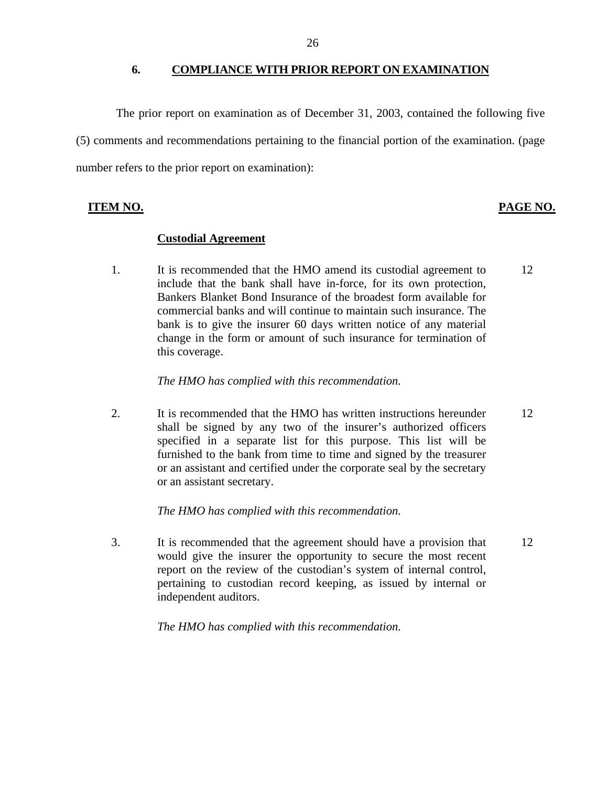#### **6. COMPLIANCE WITH PRIOR REPORT ON EXAMINATION**

The prior report on examination as of December 31, 2003, contained the following five (5) comments and recommendations pertaining to the financial portion of the examination. (page number refers to the prior report on examination):

#### **ITEM NO.**

## **PAGE NO.**

#### **Custodial Agreement**

1. It is recommended that the HMO amend its custodial agreement to include that the bank shall have in-force, for its own protection, Bankers Blanket Bond Insurance of the broadest form available for commercial banks and will continue to maintain such insurance. The bank is to give the insurer 60 days written notice of any material change in the form or amount of such insurance for termination of this coverage. 12

#### *The HMO has complied with this recommendation.*

2. It is recommended that the HMO has written instructions hereunder shall be signed by any two of the insurer's authorized officers specified in a separate list for this purpose. This list will be furnished to the bank from time to time and signed by the treasurer or an assistant and certified under the corporate seal by the secretary or an assistant secretary. 12

*The HMO has complied with this recommendation.* 

3. It is recommended that the agreement should have a provision that would give the insurer the opportunity to secure the most recent report on the review of the custodian's system of internal control, pertaining to custodian record keeping, as issued by internal or independent auditors. 12

*The HMO has complied with this recommendation.*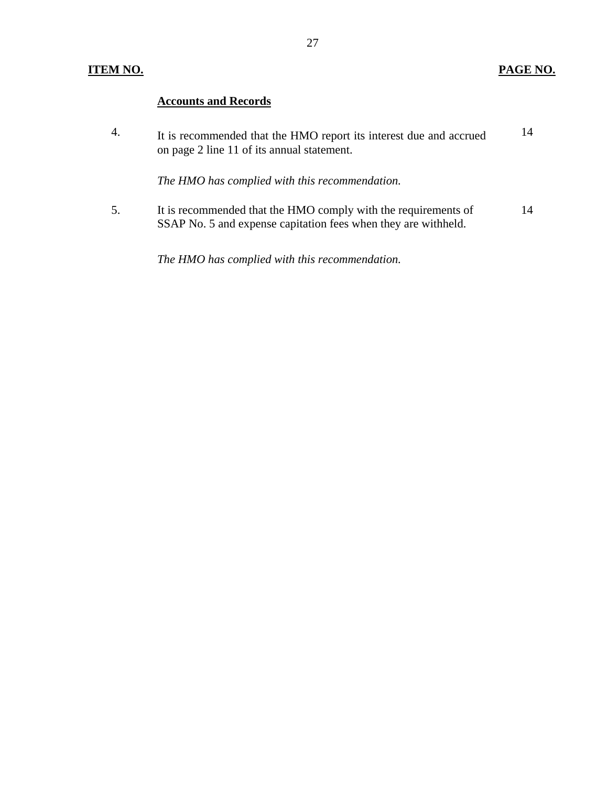## **ITEM NO. PAGE NO.**

## **Accounts and Records**

| $\overline{4}$ . | It is recommended that the HMO report its interest due and accrued<br>on page 2 line 11 of its annual statement.                 |    |
|------------------|----------------------------------------------------------------------------------------------------------------------------------|----|
|                  | The HMO has complied with this recommendation.                                                                                   |    |
| 5.               | It is recommended that the HMO comply with the requirements of<br>SSAP No. 5 and expense capitation fees when they are withheld. | 14 |

*The HMO has complied with this recommendation.*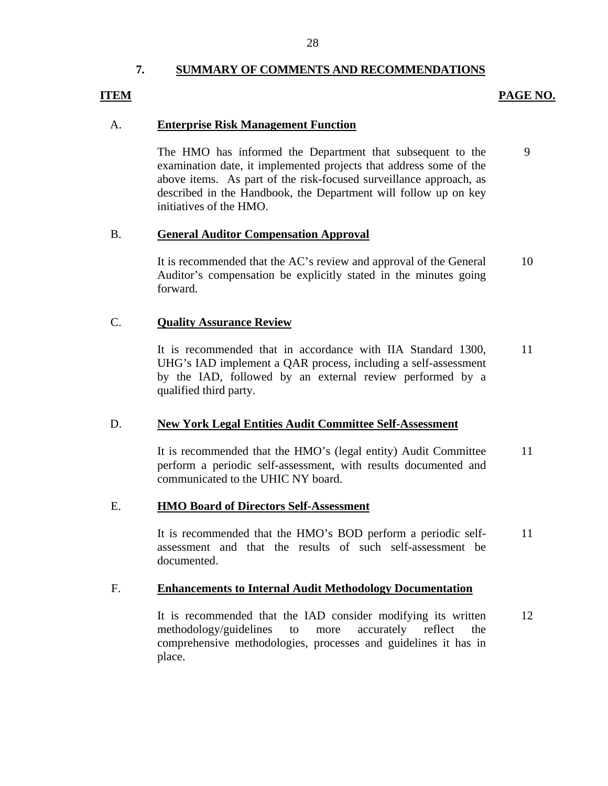## **7. SUMMARY OF COMMENTS AND RECOMMENDATIONS**

### **ITEM**

#### PAGE NO.

#### A. **Enterprise Risk Management Function**

The HMO has informed the Department that subsequent to the examination date, it implemented projects that address some of the above items. As part of the risk-focused surveillance approach, as described in the Handbook, the Department will follow up on key initiatives of the HMO. 9

#### B. **General Auditor Compensation Approval**

It is recommended that the AC's review and approval of the General Auditor's compensation be explicitly stated in the minutes going forward. 10

#### C. **Quality Assurance Review**

It is recommended that in accordance with IIA Standard 1300, UHG's IAD implement a QAR process, including a self-assessment by the IAD, followed by an external review performed by a qualified third party. 11

#### D. **New York Legal Entities Audit Committee Self-Assessment**

It is recommended that the HMO's (legal entity) Audit Committee perform a periodic self-assessment, with results documented and communicated to the UHIC NY board. 11

#### E. **HMO Board of Directors Self-Assessment**

It is recommended that the HMO's BOD perform a periodic selfassessment and that the results of such self-assessment be documented. 11

#### F. **Enhancements to Internal Audit Methodology Documentation**

It is recommended that the IAD consider modifying its written methodology/guidelines to more accurately reflect the comprehensive methodologies, processes and guidelines it has in place. 12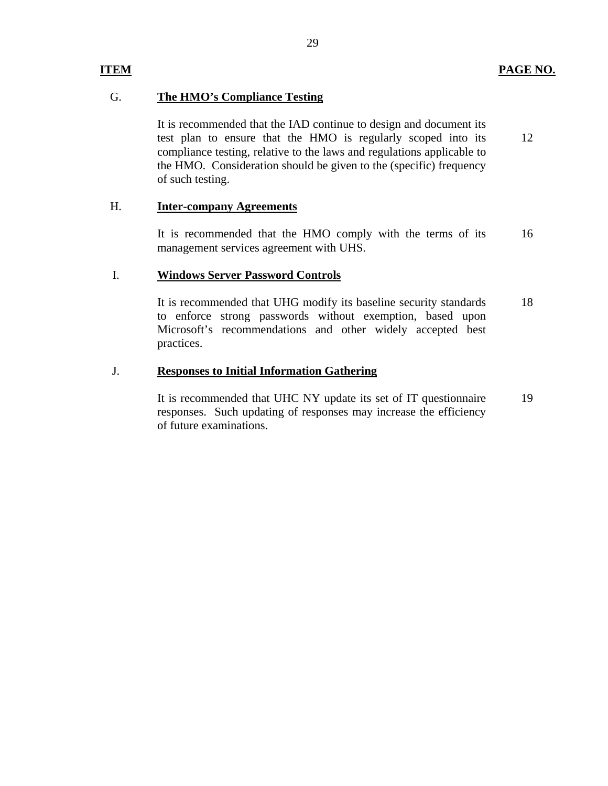## G. **The HMO's Compliance Testing**

It is recommended that the IAD continue to design and document its test plan to ensure that the HMO is regularly scoped into its compliance testing, relative to the laws and regulations applicable to the HMO. Consideration should be given to the (specific) frequency of such testing. 12

### H. **Inter-company Agreements**

It is recommended that the HMO comply with the terms of its management services agreement with UHS. 16

### I. **Windows Server Password Controls**

It is recommended that UHG modify its baseline security standards to enforce strong passwords without exemption, based upon Microsoft's recommendations and other widely accepted best practices. 18

### J. **Responses to Initial Information Gathering**

It is recommended that UHC NY update its set of IT questionnaire responses. Such updating of responses may increase the efficiency of future examinations. 19